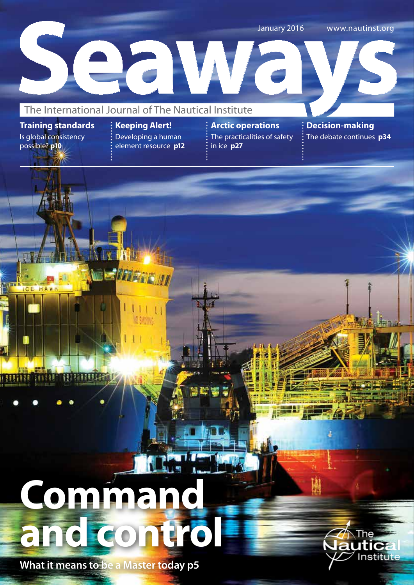January 2016 www.nautinst.org

# January 2016 www.nautinst.org<br>The International Journal of The Nautical Institute

**Training standards** Is global consistency possible? **p10**

**CE HAWK** 

**RIMIT** 

HUTEL

**Keeping Alert!** Developing a human

ND SMOTHS

element resource **p12**

**Arctic operations** The practicalities of safety in ice **p27**

**Decision-making**  The debate continues **p34**

# **ALS Command and control**

**HAIRDER** 

**What it means to be a Master today p5**



т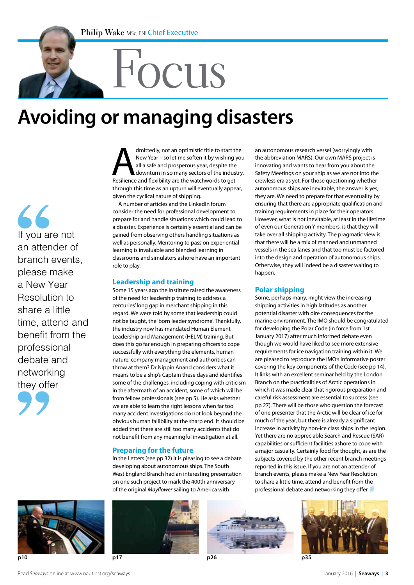# Focus

# **Avoiding or managing disasters**

 $\overline{\mathcal{L}}$ If you are not an attender of branch events, please make a New Year Resolution to share a little time, attend and benefit from the professional debate and networking they offer

dmittedly, not an optimistic title to start the<br>
New Year – so let me soften it by wishing you<br>
all a safe and prosperous year, despite the<br>
downturn in so many sectors of the industry<br>
Resilience and flexibility are the w New Year – so let me soften it by wishing you all a safe and prosperous year, despite the downturn in so many sectors of the industry. through this time as an upturn will eventually appear, given the cyclical nature of shipping.

A number of articles and the LinkedIn forum consider the need for professional development to prepare for and handle situations which could lead to a disaster. Experience is certainly essential and can be gained from observing others handling situations as well as personally. Mentoring to pass on experiential learning is invaluable and blended learning in classrooms and simulators ashore have an important role to play.

#### **Leadership and training**

Some 15 years ago the Institute raised the awareness of the need for leadership training to address a centuries' long gap in merchant shipping in this regard. We were told by some that leadership could not be taught, the 'born leader syndrome'. Thankfully, the industry now has mandated Human Element Leadership and Management (HELM) training. But does this go far enough in preparing officers to cope successfully with everything the elements, human nature, company management and authorities can throw at them? Dr Nippin Anand considers what it means to be a ship's Captain these days and identifies some of the challenges, including coping with criticism in the aftermath of an accident, some of which will be from fellow professionals (see pp 5). He asks whether we are able to learn the right lessons when far too many accident investigations do not look beyond the obvious human fallibility at the sharp end. It should be added that there are still too many accidents that do not benefit from any meaningful investigation at all.

#### **Preparing for the future**

In the Letters (see pp 32) it is pleasing to see a debate developing about autonomous ships. The South West England Branch had an interesting presentation on one such project to mark the 400th anniversary of the original *Mayflower* sailing to America with

an autonomous research vessel (worryingly with the abbreviation MARS). Our own MARS project is innovating and wants to hear from you about the Safety Meetings on your ship as we are not into the crewless era as yet. For those questioning whether autonomous ships are inevitable, the answer is yes, they are. We need to prepare for that eventuality by ensuring that there are appropriate qualification and training requirements in place for their operators. However, what is not inevitable, at least in the lifetime of even our Generation Y members, is that they will take over all shipping activity. The pragmatic view is that there will be a mix of manned and unmanned vessels in the sea lanes and that too must be factored into the design and operation of autonomous ships. Otherwise, they will indeed be a disaster waiting to happen.

#### **Polar shipping**

Some, perhaps many, might view the increasing shipping activities in high latitudes as another potential disaster with dire consequences for the marine environment. The IMO should be congratulated for developing the Polar Code (in force from 1st January 2017) after much informed debate even though we would have liked to see more extensive requirements for ice navigation training within it. We are pleased to reproduce the IMO's informative poster covering the key components of the Code (see pp 14). It links with an excellent seminar held by the London Branch on the practicalities of Arctic operations in which it was made clear that rigorous preparation and careful risk assessment are essential to success (see pp 27). There will be those who question the forecast of one presenter that the Arctic will be clear of ice for much of the year, but there is already a significant increase in activity by non-ice class ships in the region. Yet there are no appreciable Search and Rescue (SAR) capabilities or sufficient facilities ashore to cope with a major casualty. Certainly food for thought, as are the subjects covered by the other recent branch meetings reported in this issue. If you are not an attender of branch events, please make a New Year Resolution to share a little time, attend and benefit from the professional debate and networking they offer.





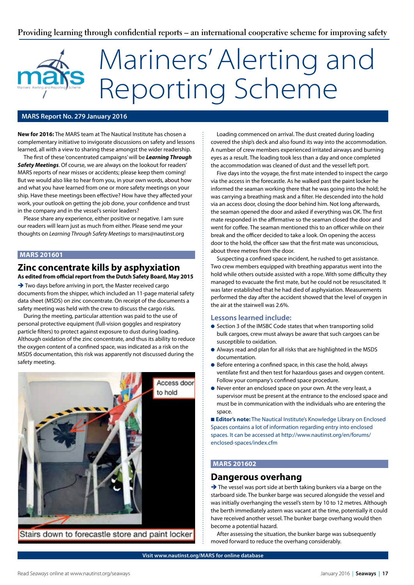# Mariners' Alerting and Reporting Scheme

#### **MARS Report No. 279 January 2016**

**New for 2016:** The MARS team at The Nautical Institute has chosen a complementary initiative to invigorate discussions on safety and lessons learned, all with a view to sharing these amongst the wider readership.

The first of these 'concentrated campaigns' will be *Learning Through Safety Meetings*. Of course, we are always on the lookout for readers' MARS reports of near misses or accidents; please keep them coming! But we would also like to hear from you, in your own words, about how and what you have learned from one or more safety meetings on your ship. Have these meetings been effective? How have they affected your work, your outlook on getting the job done, your confidence and trust in the company and in the vessel's senior leaders?

Please share any experience, either positive or negative. I am sure our readers will learn just as much from either. Please send me your thoughts on *Learning Through Safety Meetings* to mars@nautinst.org

#### **MARS 201601**

#### **Zinc concentrate kills by asphyxiation As edited from official report from the Dutch Safety Board, May 2015**

→ Two days before arriving in port, the Master received cargo documents from the shipper, which included an 11-page material safety data sheet (MSDS) on zinc concentrate. On receipt of the documents a safety meeting was held with the crew to discuss the cargo risks.

During the meeting, particular attention was paid to the use of personal protective equipment (full-vision goggles and respiratory particle filters) to protect against exposure to dust during loading. Although oxidation of the zinc concentrate, and thus its ability to reduce the oxygen content of a confined space, was indicated as a risk on the MSDS documentation, this risk was apparently not discussed during the safety meeting.



Stairs down to forecastle store and paint locker

Loading commenced on arrival. The dust created during loading covered the ship's deck and also found its way into the accommodation. A number of crew members experienced irritated airways and burning eyes as a result. The loading took less than a day and once completed the accommodation was cleaned of dust and the vessel left port.

Five days into the voyage, the first mate intended to inspect the cargo via the access in the forecastle. As he walked past the paint locker he informed the seaman working there that he was going into the hold; he was carrying a breathing mask and a filter. He descended into the hold via an access door, closing the door behind him. Not long afterwards, the seaman opened the door and asked if everything was OK. The first mate responded in the affirmative so the seaman closed the door and went for coffee. The seaman mentioned this to an officer while on their break and the officer decided to take a look. On opening the access door to the hold, the officer saw that the first mate was unconscious, about three metres from the door.

Suspecting a confined space incident, he rushed to get assistance. Two crew members equipped with breathing apparatus went into the hold while others outside assisted with a rope. With some difficulty they managed to evacuate the first mate, but he could not be resuscitated. It was later established that he had died of asphyxiation. Measurements performed the day after the accident showed that the level of oxygen in the air at the stairwell was 2.6%.

#### **Lessons learned include:**

- Section 3 of the IMSBC Code states that when transporting solid bulk cargoes, crew must always be aware that such cargoes can be susceptible to oxidation.
- l Always read and plan for all risks that are highlighted in the MSDS documentation.
- Before entering a confined space, in this case the hold, always ventilate first and then test for hazardous gases and oxygen content. Follow your company's confined space procedure.
- Never enter an enclosed space on your own. At the very least, a supervisor must be present at the entrance to the enclosed space and must be in communication with the individuals who are entering the space

■ **Editor's note:** The Nautical Institute's Knowledge Library on Enclosed Spaces contains a lot of information regarding entry into enclosed spaces. It can be accessed at http://www.nautinst.org/en/forums/ enclosed-spaces/index.cfm

#### **MARS 201602**

#### **Dangerous overhang**

 $\rightarrow$  The vessel was port side at berth taking bunkers via a barge on the starboard side. The bunker barge was secured alongside the vessel and was initially overhanging the vessel's stern by 10 to 12 metres. Although the berth immediately astern was vacant at the time, potentially it could have received another vessel. The bunker barge overhang would then become a potential hazard.

After assessing the situation, the bunker barge was subsequently moved forward to reduce the overhang considerably.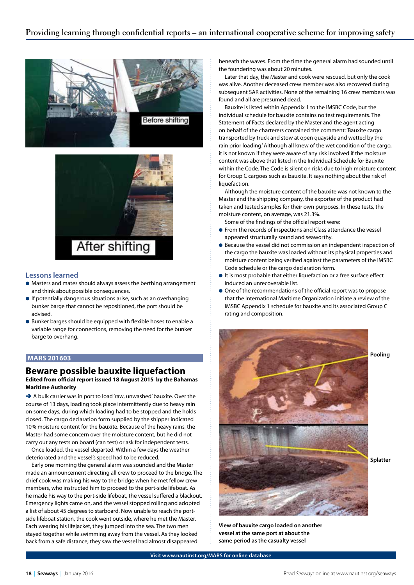



#### **Lessons learned**

- $\bullet$  Masters and mates should always assess the berthing arrangement and think about possible consequences.
- $\bullet$  If potentially dangerous situations arise, such as an overhanging bunker barge that cannot be repositioned, the port should be advised.
- Bunker barges should be equipped with flexible hoses to enable a variable range for connections, removing the need for the bunker barge to overhang.

#### **MARS 201603**

#### **Beware possible bauxite liquefaction**

**Edited from official report issued 18 August 2015 by the Bahamas Maritime Authority**

 $\rightarrow$  A bulk carrier was in port to load 'raw, unwashed' bauxite. Over the course of 13 days, loading took place intermittently due to heavy rain on some days, during which loading had to be stopped and the holds closed. The cargo declaration form supplied by the shipper indicated 10% moisture content for the bauxite. Because of the heavy rains, the Master had some concern over the moisture content, but he did not carry out any tests on board (can test) or ask for independent tests.

Once loaded, the vessel departed. Within a few days the weather deteriorated and the vessel's speed had to be reduced.

Early one morning the general alarm was sounded and the Master made an announcement directing all crew to proceed to the bridge. The chief cook was making his way to the bridge when he met fellow crew members, who instructed him to proceed to the port-side lifeboat. As he made his way to the port-side lifeboat, the vessel suffered a blackout. Emergency lights came on, and the vessel stopped rolling and adopted a list of about 45 degrees to starboard. Now unable to reach the portside lifeboat station, the cook went outside, where he met the Master. Each wearing his lifejacket, they jumped into the sea. The two men stayed together while swimming away from the vessel. As they looked back from a safe distance, they saw the vessel had almost disappeared

beneath the waves. From the time the general alarm had sounded until the foundering was about 20 minutes.

Later that day, the Master and cook were rescued, but only the cook was alive. Another deceased crew member was also recovered during subsequent SAR activities. None of the remaining 16 crew members was found and all are presumed dead.

Bauxite is listed within Appendix 1 to the IMSBC Code, but the individual schedule for bauxite contains no test requirements. The Statement of Facts declared by the Master and the agent acting on behalf of the charterers contained the comment: 'Bauxite cargo transported by truck and stow at open quayside and wetted by the rain prior loading.' Although all knew of the wet condition of the cargo, it is not known if they were aware of any risk involved if the moisture content was above that listed in the Individual Schedule for Bauxite within the Code. The Code is silent on risks due to high moisture content for Group C cargoes such as bauxite. It says nothing about the risk of liquefaction.

Although the moisture content of the bauxite was not known to the Master and the shipping company, the exporter of the product had taken and tested samples for their own purposes. In these tests, the moisture content, on average, was 21.3%.

Some of the findings of the official report were:

- **•** From the records of inspections and Class attendance the vessel appeared structurally sound and seaworthy.
- Because the vessel did not commission an independent inspection of the cargo the bauxite was loaded without its physical properties and moisture content being verified against the parameters of the IMSBC Code schedule or the cargo declaration form.
- $\bullet$  It is most probable that either liquefaction or a free surface effect induced an unrecoverable list.
- One of the recommendations of the official report was to propose that the International Maritime Organization initiate a review of the IMSBC Appendix 1 schedule for bauxite and its associated Group C rating and composition.



**View of bauxite cargo loaded on another vessel at the same port at about the same period as the casualty vessel**

**Visit www.nautinst.org/MARS for online database**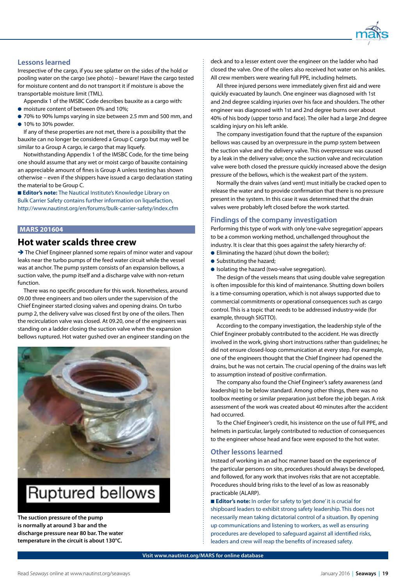

#### **Lessons learned**

Irrespective of the cargo, if you see splatter on the sides of the hold or pooling water on the cargo (see photo) – beware! Have the cargo tested for moisture content and do not transport it if moisture is above the transportable moisture limit (TML).

Appendix 1 of the IMSBC Code describes bauxite as a cargo with:

- $\bullet$  moisture content of between 0% and 10%;
- l 70% to 90% lumps varying in size between 2.5 mm and 500 mm, and  $\bullet$  10% to 30% powder.

If any of these properties are not met, there is a possibility that the bauxite can no longer be considered a Group C cargo but may well be similar to a Group A cargo, ie cargo that may liquefy.

Notwithstanding Appendix 1 of the IMSBC Code, for the time being one should assume that any wet or moist cargo of bauxite containing an appreciable amount of fines is Group A unless testing has shown otherwise – even if the shippers have issued a cargo declaration stating the material to be Group C.

**Editor's note:** The Nautical Institute's Knowledge Library on Bulk Carrier Safety contains further information on liquefaction, http://www.nautinst.org/en/forums/bulk-carrier-safety/index.cfm

#### **MARS 201604**

#### **Hot water scalds three crew**

→ The Chief Engineer planned some repairs of minor water and vapour leaks near the turbo pumps of the feed water circuit while the vessel was at anchor. The pump system consists of an expansion bellows, a suction valve, the pump itself and a discharge valve with non-return function.

There was no specific procedure for this work. Nonetheless, around 09.00 three engineers and two oilers under the supervision of the Chief Engineer started closing valves and opening drains. On turbo pump 2, the delivery valve was closed first by one of the oilers. Then the recirculation valve was closed. At 09.20, one of the engineers was standing on a ladder closing the suction valve when the expansion bellows ruptured. Hot water gushed over an engineer standing on the



### Ruptured bellows

**The suction pressure of the pump is normally at around 3 bar and the discharge pressure near 80 bar. The water temperature in the circuit is about 130°C.** 

deck and to a lesser extent over the engineer on the ladder who had closed the valve. One of the oilers also received hot water on his ankles. All crew members were wearing full PPE, including helmets.

All three injured persons were immediately given first aid and were quickly evacuated by launch. One engineer was diagnosed with 1st and 2nd degree scalding injuries over his face and shoulders. The other engineer was diagnosed with 1st and 2nd degree burns over about 40% of his body (upper torso and face). The oiler had a large 2nd degree scalding injury on his left ankle.

The company investigation found that the rupture of the expansion bellows was caused by an overpressure in the pump system between the suction valve and the delivery valve. This overpressure was caused by a leak in the delivery valve; once the suction valve and recirculation valve were both closed the pressure quickly increased above the design pressure of the bellows, which is the weakest part of the system.

Normally the drain valves (and vent) must initially be cracked open to release the water and to provide confirmation that there is no pressure present in the system. In this case it was determined that the drain valves were probably left closed before the work started.

#### **Findings of the company investigation**

Performing this type of work with only 'one-valve segregation' appears to be a common working method, unchallenged throughout the industry. It is clear that this goes against the safety hierarchy of:

- **e** Eliminating the hazard (shut down the boiler);
- **Substituting the hazard;**
- **•** Isolating the hazard (two-valve segregation).

The design of the vessels means that using double valve segregation is often impossible for this kind of maintenance. Shutting down boilers is a time-consuming operation, which is not always supported due to commercial commitments or operational consequences such as cargo control. This is a topic that needs to be addressed industry-wide (for example, through SIGTTO).

According to the company investigation, the leadership style of the Chief Engineer probably contributed to the accident. He was directly involved in the work, giving short instructions rather than guidelines; he did not ensure closed-loop communication at every step. For example, one of the engineers thought that the Chief Engineer had opened the drains, but he was not certain. The crucial opening of the drains was left to assumption instead of positive confirmation.

The company also found the Chief Engineer's safety awareness (and leadership) to be below standard. Among other things, there was no toolbox meeting or similar preparation just before the job began. A risk assessment of the work was created about 40 minutes after the accident had occurred.

To the Chief Engineer's credit, his insistence on the use of full PPE, and helmets in particular, largely contributed to reduction of consequences to the engineer whose head and face were exposed to the hot water.

#### **Other lessons learned**

Instead of working in an ad hoc manner based on the experience of the particular persons on site, procedures should always be developed, and followed, for any work that involves risks that are not acceptable. Procedures should bring risks to the level of as low as reasonably practicable (ALARP).

■ **Editor's note:** In order for safety to 'get done' it is crucial for shipboard leaders to exhibit strong safety leadership. This does not necessarily mean taking dictatorial control of a situation. By opening up communications and listening to workers, as well as ensuring procedures are developed to safeguard against all identified risks, leaders and crew will reap the benefits of increased safety.